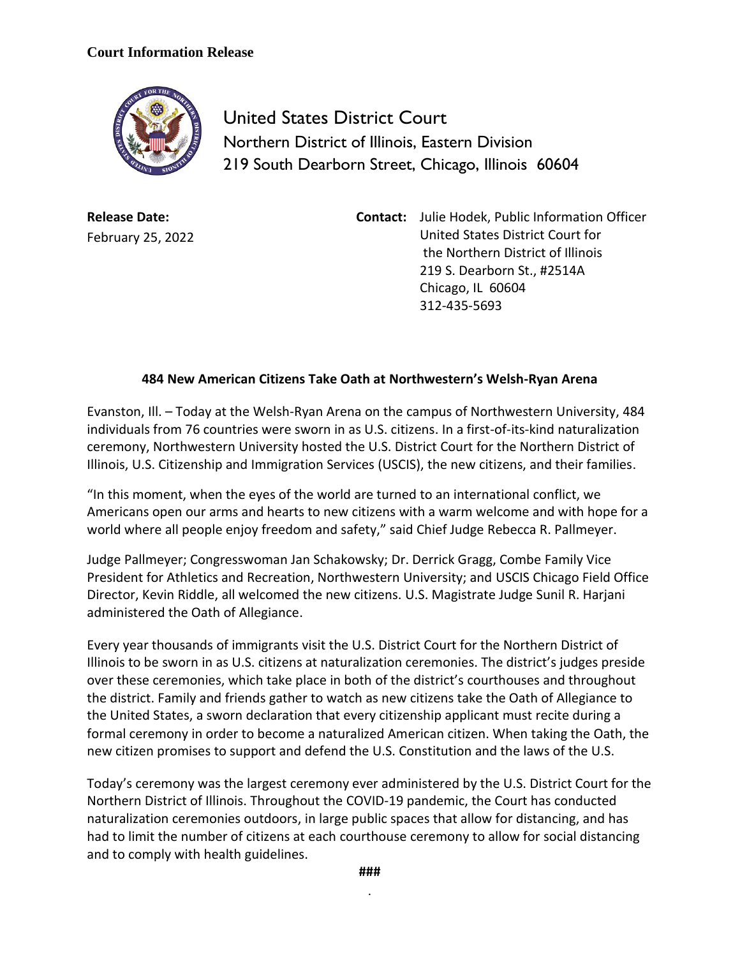## **Court Information Release**



United States District Court Northern District of Illinois, Eastern Division 219 South Dearborn Street, Chicago, Illinois 60604

**Release Date:** February 25, 2022 **Contact:** Julie Hodek, Public Information Officer United States District Court for the Northern District of Illinois 219 S. Dearborn St., #2514A Chicago, IL 60604 312-435-5693

## **484 New American Citizens Take Oath at Northwestern's Welsh-Ryan Arena**

Evanston, Ill. – Today at the Welsh-Ryan Arena on the campus of Northwestern University, 484 individuals from 76 countries were sworn in as U.S. citizens. In a first-of-its-kind naturalization ceremony, Northwestern University hosted the U.S. District Court for the Northern District of Illinois, U.S. Citizenship and Immigration Services (USCIS), the new citizens, and their families.

"In this moment, when the eyes of the world are turned to an international conflict, we Americans open our arms and hearts to new citizens with a warm welcome and with hope for a world where all people enjoy freedom and safety," said Chief Judge Rebecca R. Pallmeyer.

Judge Pallmeyer; Congresswoman Jan Schakowsky; Dr. Derrick Gragg, Combe Family Vice President for Athletics and Recreation, Northwestern University; and USCIS Chicago Field Office Director, Kevin Riddle, all welcomed the new citizens. U.S. Magistrate Judge Sunil R. Harjani administered the Oath of Allegiance.

Every year thousands of immigrants visit the U.S. District Court for the Northern District of Illinois to be sworn in as U.S. citizens at naturalization ceremonies. The district's judges preside over these ceremonies, which take place in both of the district's courthouses and throughout the district. Family and friends gather to watch as new citizens take the Oath of Allegiance to the United States, a sworn declaration that every citizenship applicant must recite during a formal ceremony in order to become a naturalized American citizen. When taking the Oath, the new citizen promises to support and defend the U.S. Constitution and the laws of the U.S.

Today's ceremony was the largest ceremony ever administered by the U.S. District Court for the Northern District of Illinois. Throughout the COVID-19 pandemic, the Court has conducted naturalization ceremonies outdoors, in large public spaces that allow for distancing, and has had to limit the number of citizens at each courthouse ceremony to allow for social distancing and to comply with health guidelines.